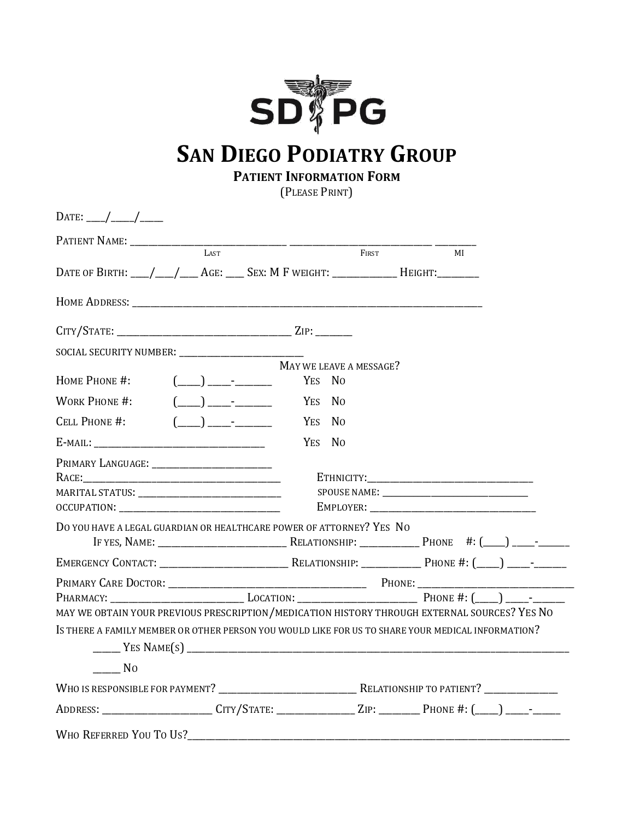

# **SAN DIEGO PODIATRY GROUP**

**PATIENT INFORMATION FORM**

(PLEASE PRINT)

| LAST <sub>1</sub>                                                                                                                                                                                                             |                         | FIRST | MI |  |
|-------------------------------------------------------------------------------------------------------------------------------------------------------------------------------------------------------------------------------|-------------------------|-------|----|--|
| DATE OF BIRTH: ___/___/___AGE: ____ SEX: M F WEIGHT: ____________ HEIGHT: _______                                                                                                                                             |                         |       |    |  |
|                                                                                                                                                                                                                               |                         |       |    |  |
|                                                                                                                                                                                                                               |                         |       |    |  |
| SOCIAL SECURITY NUMBER: _____________________________                                                                                                                                                                         |                         |       |    |  |
|                                                                                                                                                                                                                               | MAY WE LEAVE A MESSAGE? |       |    |  |
| $(\_\_) \_\_\_$<br>HOME PHONE #:                                                                                                                                                                                              | YES NO                  |       |    |  |
| $(\_\_)$ $\_\_$<br><b>WORK PHONE #:</b>                                                                                                                                                                                       | YES No                  |       |    |  |
| <b>CELL PHONE #:</b><br>$\begin{array}{ccc} \begin{array}{ccc} \end{array} \end{array}$                                                                                                                                       | YES NO                  |       |    |  |
|                                                                                                                                                                                                                               | YES NO                  |       |    |  |
|                                                                                                                                                                                                                               |                         |       |    |  |
|                                                                                                                                                                                                                               |                         |       |    |  |
|                                                                                                                                                                                                                               |                         |       |    |  |
|                                                                                                                                                                                                                               |                         |       |    |  |
| DO YOU HAVE A LEGAL GUARDIAN OR HEALTHCARE POWER OF ATTORNEY? YES NO                                                                                                                                                          |                         |       |    |  |
|                                                                                                                                                                                                                               |                         |       |    |  |
|                                                                                                                                                                                                                               |                         |       |    |  |
|                                                                                                                                                                                                                               |                         |       |    |  |
|                                                                                                                                                                                                                               |                         |       |    |  |
| MAY WE OBTAIN YOUR PREVIOUS PRESCRIPTION/MEDICATION HISTORY THROUGH EXTERNAL SOURCES? YES NO                                                                                                                                  |                         |       |    |  |
| IS THERE A FAMILY MEMBER OR OTHER PERSON YOU WOULD LIKE FOR US TO SHARE YOUR MEDICAL INFORMATION?                                                                                                                             |                         |       |    |  |
|                                                                                                                                                                                                                               |                         |       |    |  |
| N <sub>0</sub>                                                                                                                                                                                                                |                         |       |    |  |
|                                                                                                                                                                                                                               |                         |       |    |  |
| ADDRESS: ______________________CITY/STATE: ______________ZIP: ________PHONE #: (___) ____- _______                                                                                                                            |                         |       |    |  |
| WHO REFERRED YOU TO US? NOTE: A POST OF THE REPORT OF THE REPORT OF THE REPORT OF THE REPORT OF THE REPORT OF THE REPORT OF THE REPORT OF THE REPORT OF THE REPORT OF THE REPORT OF THE REPORT OF THE REPORT OF THE REPORT OF |                         |       |    |  |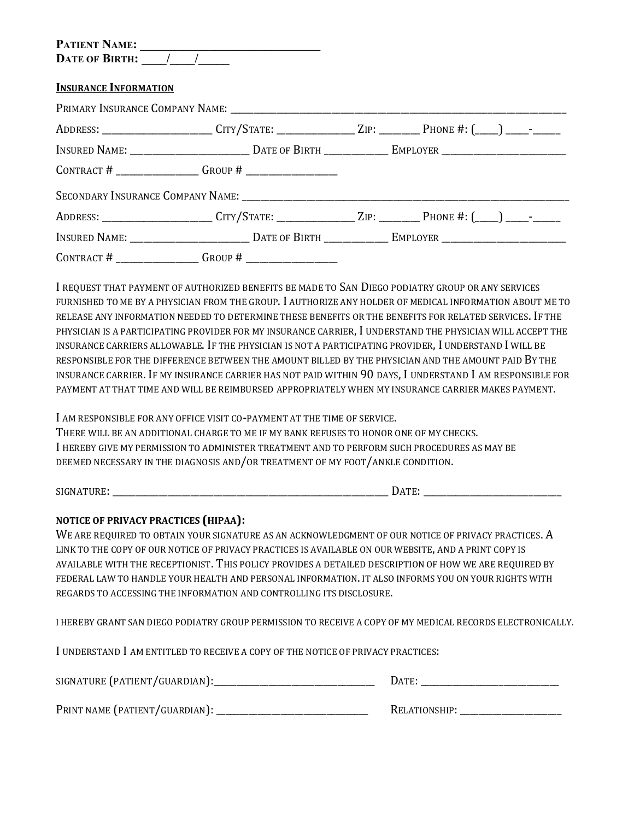| <b>PATIENT NAME:</b>  |  |
|-----------------------|--|
| <b>DATE OF BIRTH:</b> |  |

### **INSURANCE INFORMATION**

| ADDRESS: ______________________CITY/STATE: ______________ZIP: _________PHONE #: (___) ____-________ |  |  |
|-----------------------------------------------------------------------------------------------------|--|--|
|                                                                                                     |  |  |
| CONTRACT # $\frac{1}{2}$ GROUP # $\frac{1}{2}$                                                      |  |  |
|                                                                                                     |  |  |
| ADDRESS: ______________________CITY/STATE: _______________ZIP: _________PHONE #: (___) ____- _____  |  |  |
|                                                                                                     |  |  |
| CONTRACT # $\frac{1}{2}$ GROUP # $\frac{1}{2}$                                                      |  |  |

I REQUEST THAT PAYMENT OF AUTHORIZED BENEFITS BE MADE TO SAN DIEGO PODIATRY GROUP OR ANY SERVICES FURNISHED TO ME BY A PHYSICIAN FROM THE GROUP. I AUTHORIZE ANY HOLDER OF MEDICAL INFORMATION ABOUT ME TO RELEASE ANY INFORMATION NEEDED TO DETERMINE THESE BENEFITS OR THE BENEFITS FOR RELATED SERVICES. IF THE PHYSICIAN IS A PARTICIPATING PROVIDER FOR MY INSURANCE CARRIER, I UNDERSTAND THE PHYSICIAN WILL ACCEPT THE INSURANCE CARRIERS ALLOWABLE. IF THE PHYSICIAN IS NOT A PARTICIPATING PROVIDER, I UNDERSTAND I WILL BE RESPONSIBLE FOR THE DIFFERENCE BETWEEN THE AMOUNT BILLED BY THE PHYSICIAN AND THE AMOUNT PAID BY THE INSURANCE CARRIER. IF MY INSURANCE CARRIER HAS NOT PAID WITHIN 90 DAYS, I UNDERSTAND I AM RESPONSIBLE FOR PAYMENT AT THAT TIME AND WILL BE REIMBURSED APPROPRIATELY WHEN MY INSURANCE CARRIER MAKES PAYMENT.

I AM RESPONSIBLE FOR ANY OFFICE VISIT CO-PAYMENT AT THE TIME OF SERVICE.

THERE WILL BE AN ADDITIONAL CHARGE TO ME IF MY BANK REFUSES TO HONOR ONE OF MY CHECKS. I HEREBY GIVE MY PERMISSION TO ADMINISTER TREATMENT AND TO PERFORM SUCH PROCEDURES AS MAY BE DEEMED NECESSARY IN THE DIAGNOSIS AND/OR TREATMENT OF MY FOOT/ANKLE CONDITION.

SIGNATURE: \_\_\_\_\_\_\_\_\_\_\_\_\_\_\_\_\_\_\_\_\_\_\_\_\_\_\_\_\_\_\_\_\_\_\_\_\_\_\_\_\_\_\_\_\_\_\_\_\_\_\_\_\_\_\_\_\_\_\_\_ DATE: \_\_\_\_\_\_\_\_\_\_\_\_\_\_\_\_\_\_\_\_\_\_\_\_\_\_\_\_\_\_

### **NOTICE OF PRIVACY PRACTICES (HIPAA):**

WE ARE REQUIRED TO OBTAIN YOUR SIGNATURE AS AN ACKNOWLEDGMENT OF OUR NOTICE OF PRIVACY PRACTICES. A LINK TO THE COPY OF OUR NOTICE OF PRIVACY PRACTICES IS AVAILABLE ON OUR WEBSITE, AND A PRINT COPY IS AVAILABLE WITH THERECEPTIONIST. THIS POLICY PROVIDES A DETAILED DESCRIPTION OF HOW WE ARE REQUIRED BY FEDERAL LAW TO HANDLE YOUR HEALTH AND PERSONAL INFORMATION. IT ALSO INFORMS YOU ON YOUR RIGHTS WITH REGARDS TO ACCESSING THE INFORMATION AND CONTROLLING ITS DISCLOSURE.

I HEREBY GRANT SAN DIEGO PODIATRY GROUP PERMISSION TO RECEIVE A COPY OF MY MEDICAL RECORDS ELECTRONICALLY.

I UNDERSTAND I AM ENTITLED TO RECEIVE A COPY OF THE NOTICE OF PRIVACY PRACTICES:

| SIGNATURE (PATIENT/GUARDIAN):  | Date:         |
|--------------------------------|---------------|
| PRINT NAME (PATIENT/GUARDIAN): | RELATIONSHIP: |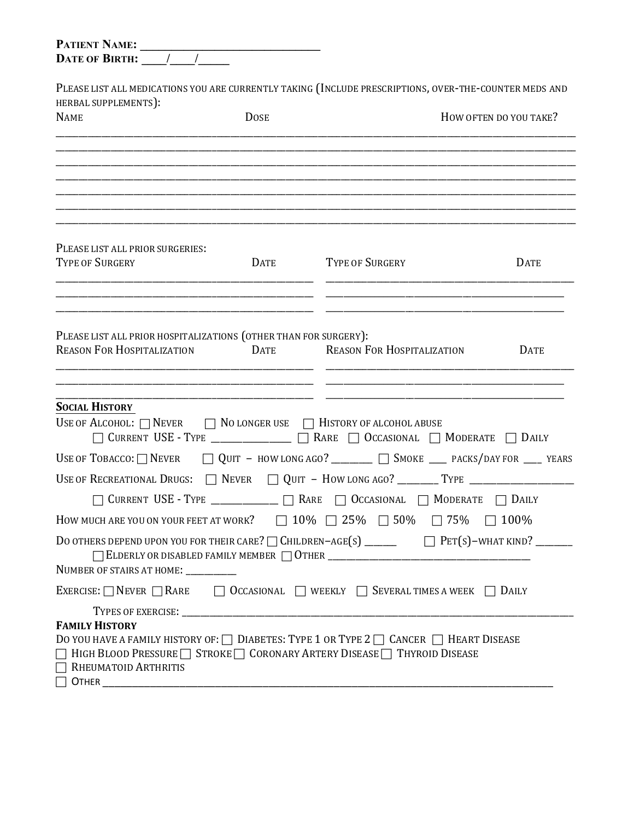| <b>PATIENT NAME:</b><br>DATE OF BIRTH: / /                                                            |             |                                                                                                                                                                               |                        |
|-------------------------------------------------------------------------------------------------------|-------------|-------------------------------------------------------------------------------------------------------------------------------------------------------------------------------|------------------------|
| HERBAL SUPPLEMENTS):                                                                                  |             | PLEASE LIST ALL MEDICATIONS YOU ARE CURRENTLY TAKING (INCLUDE PRESCRIPTIONS, OVER-THE-COUNTER MEDS AND                                                                        |                        |
| <b>NAME</b>                                                                                           | <b>DOSE</b> |                                                                                                                                                                               | HOW OFTEN DO YOU TAKE? |
|                                                                                                       |             |                                                                                                                                                                               |                        |
|                                                                                                       |             |                                                                                                                                                                               |                        |
| PLEASE LIST ALL PRIOR SURGERIES:<br><b>TYPE OF SURGERY</b>                                            | <b>DATE</b> | <b>TYPE OF SURGERY</b>                                                                                                                                                        | <b>DATE</b>            |
|                                                                                                       |             |                                                                                                                                                                               |                        |
| PLEASE LIST ALL PRIOR HOSPITALIZATIONS (OTHER THAN FOR SURGERY):<br><b>REASON FOR HOSPITALIZATION</b> | <b>DATE</b> | <b>REASON FOR HOSPITALIZATION</b>                                                                                                                                             | <b>DATE</b>            |
|                                                                                                       |             |                                                                                                                                                                               |                        |
| <b>SOCIAL HISTORY</b><br>USE OF ALCOHOL: $\Box$ Never                                                 |             | $\Box$ No longer use $\Box$ History of alcohol abuse<br>□ CURRENT USE - TYPE ______________ □ RARE □ OCCASIONAL □ MODERATE □ DAILY                                            |                        |
|                                                                                                       |             | USE OF TOBACCO: $\Box$ NEVER $\Box$ QUIT - HOW LONG AGO? ________ $\Box$ SMOKE ____ PACKS/DAY FOR ___ YEARS                                                                   |                        |
|                                                                                                       |             |                                                                                                                                                                               |                        |
| <b>CURRENT USE - TYPE</b>                                                                             | $\Box$ Rare | $\Box$ Occasional $\Box$ Moderate                                                                                                                                             | DAILY                  |
|                                                                                                       |             | HOW MUCH ARE YOU ON YOUR FEET AT WORK? $\Box$ 10% $\Box$ 25% $\Box$ 50% $\Box$ 75% $\Box$ 100%                                                                                |                        |
|                                                                                                       |             | DO OTHERS DEPEND UPON YOU FOR THEIR CARE? $\Box$ CHILDREN-AGE(S) _______ $\Box$ PET(S)-WHAT KIND? _____                                                                       |                        |
| NUMBER OF STAIRS AT HOME:                                                                             |             |                                                                                                                                                                               |                        |
|                                                                                                       |             | EXERCISE: $\Box$ NEVER $\Box$ RARE $\Box$ OCCASIONAL $\Box$ WEEKLY $\Box$ SEVERAL TIMES A WEEK $\Box$ DAILY                                                                   |                        |
| <b>FAMILY HISTORY</b><br>RHEUMATOID ARTHRITIS                                                         |             | DO YOU HAVE A FAMILY HISTORY OF: $\Box$ DIABETES: TYPE 1 OR TYPE 2 $\Box$ CANCER $\Box$ HEART DISEASE<br>□ HIGH BLOOD PRESSURE STROKE CORONARY ARTERY DISEASE THYROID DISEASE |                        |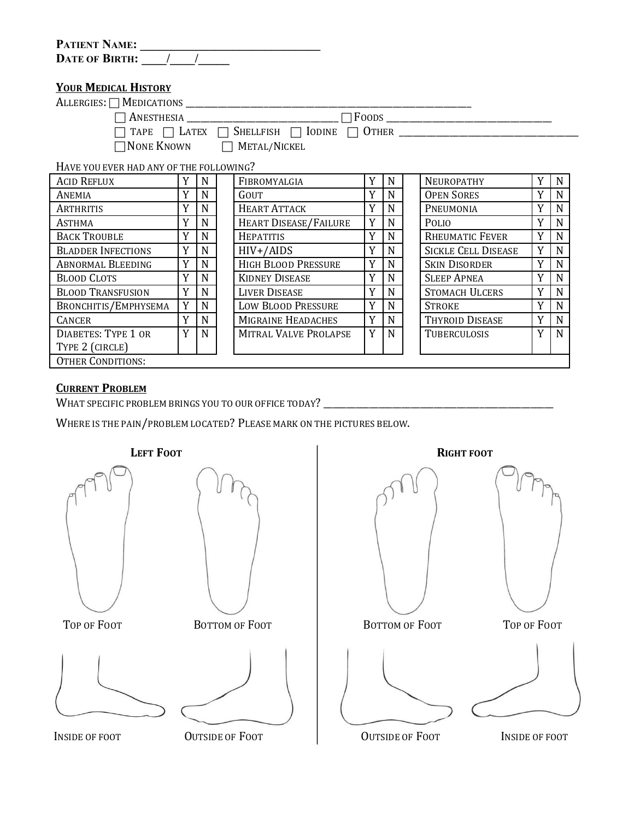| <b>PATIENT NAME:</b>  |  |  |  |
|-----------------------|--|--|--|
| <b>DATE OF BIRTH:</b> |  |  |  |

## **YOUR MEDICAL HISTORY**

| ALLERGIES: $\Box$ MEDICATIONS           |                                                                      |        |  |  |
|-----------------------------------------|----------------------------------------------------------------------|--------|--|--|
| $\sqcap$ Anesthesia                     |                                                                      | ∃Foods |  |  |
|                                         | $\Box$ TAPE $\Box$ LATEX $\Box$ Shellfish $\Box$ Iodine $\Box$ Other |        |  |  |
|                                         | $\Box$ None Known $\Box$ Metal/Nickel                                |        |  |  |
| HAVE YOU EVER HAD ANY OF THE FOLLOWING? |                                                                      |        |  |  |
|                                         |                                                                      |        |  |  |

| <b>ACID REFLUX</b>         |   | N | FIBROMYALGIA                 | Y | N | NEUROPATHY                 | Y            | $\mathbf N$ |  |
|----------------------------|---|---|------------------------------|---|---|----------------------------|--------------|-------------|--|
| ANEMIA                     |   |   | GOUT                         | Y | N | <b>OPEN SORES</b>          | v            | N           |  |
| ARTHRITIS                  |   |   | <b>HEART ATTACK</b>          | Y | N | PNEUMONIA                  | $\mathbf{v}$ | N           |  |
| ASTHMA                     |   |   | <b>HEART DISEASE/FAILURE</b> | Y | N | POLIO                      | Y            | N           |  |
| <b>BACK TROUBLE</b>        |   |   | <b>HEPATITIS</b>             | Y | N | <b>RHEUMATIC FEVER</b>     | Y            | N           |  |
| <b>BLADDER INFECTIONS</b>  | Y | N | $HIV+/AIDS$                  | Y | N | <b>SICKLE CELL DISEASE</b> | Y            | N           |  |
| <b>ABNORMAL BLEEDING</b>   | Y | N | <b>HIGH BLOOD PRESSURE</b>   | Y | N | <b>SKIN DISORDER</b>       | Y            | N           |  |
| <b>BLOOD CLOTS</b>         |   |   | <b>KIDNEY DISEASE</b>        | Y | N | <b>SLEEP APNEA</b>         | $\mathbf{v}$ | N           |  |
| <b>BLOOD TRANSFUSION</b>   |   |   | <b>LIVER DISEASE</b>         | Y | N | <b>STOMACH ULCERS</b>      | Y            | N           |  |
| BRONCHITIS/EMPHYSEMA       | Y | N | <b>LOW BLOOD PRESSURE</b>    | Y | N | <b>STROKE</b>              | v            | N           |  |
| <b>CANCER</b>              |   | N | MIGRAINE HEADACHES           | Y | N | THYROID DISEASE            | Y            | N           |  |
| <b>DIABETES: TYPE 1 OR</b> | Y | N | MITRAL VALVE PROLAPSE        | Y | N | TUBERCULOSIS               | Y            | N           |  |
| TYPE 2 (CIRCLE)            |   |   |                              |   |   |                            |              |             |  |
| <b>OTHER CONDITIONS:</b>   |   |   |                              |   |   |                            |              |             |  |

## **CURRENT PROBLEM**

WHAT SPECIFIC PROBLEM BRINGS YOU TO OUR OFFICE TODAY? \_\_\_\_\_\_\_\_\_\_\_\_\_\_\_\_\_\_\_\_\_\_\_\_\_\_\_\_\_\_\_\_\_\_\_\_\_\_\_\_\_\_\_\_\_\_\_\_\_\_

WHERE IS THE PAIN/PROBLEM LOCATED? PLEASE MARK ON THE PICTURES BELOW.

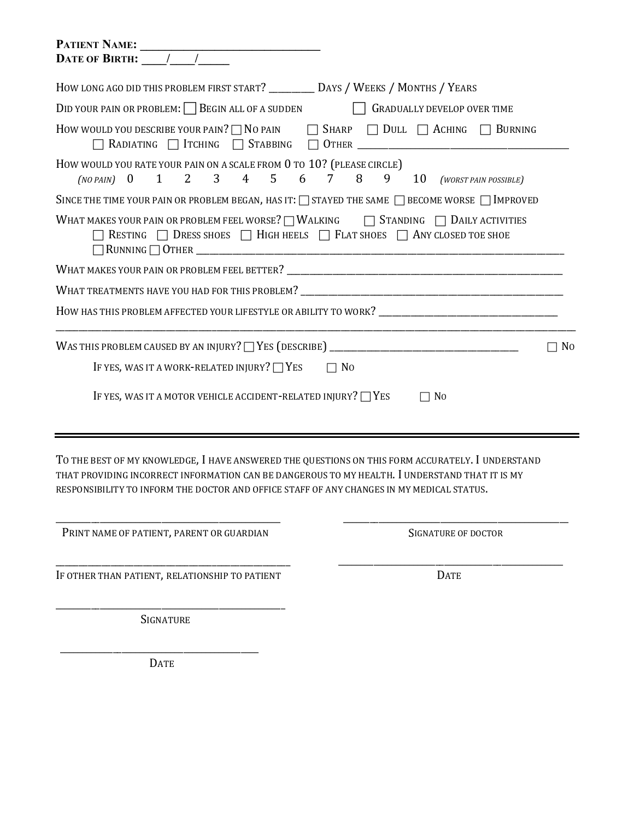| HOW LONG AGO DID THIS PROBLEM FIRST START? ___________ DAYS / WEEKS / MONTHS / YEARS                                                                                                                                                                                                            |
|-------------------------------------------------------------------------------------------------------------------------------------------------------------------------------------------------------------------------------------------------------------------------------------------------|
| DID YOUR PAIN OR PROBLEM: $\Box$ BEGIN ALL OF A SUDDEN $\Box$ GRADUALLY DEVELOP OVER TIME                                                                                                                                                                                                       |
| How would you describe your pain? $\Box$ No pain $\Box$ Sharp $\Box$ Dull $\Box$ Aching $\Box$ Burning                                                                                                                                                                                          |
| How would you rate your pain on a scale from 0 to 10? (PLEASE CIRCLE)<br>(NO PAIN) 0 1 2 3 4 5 6 7 8 9 10 (WORST PAIN POSSIBLE)                                                                                                                                                                 |
| SINCE THE TIME YOUR PAIN OR PROBLEM BEGAN, HAS IT: $\Box$ STAYED THE SAME $\Box$ BECOME WORSE $\Box$ IMPROVED                                                                                                                                                                                   |
| WHAT MAKES YOUR PAIN OR PROBLEM FEEL WORSE?   WALKING   STANDING   DAILY ACTIVITIES<br>$\Box$ RESTING $\Box$ DRESS SHOES $\Box$ HIGH HEELS $\Box$ FLAT SHOES $\Box$ ANY CLOSED TOE SHOE                                                                                                         |
|                                                                                                                                                                                                                                                                                                 |
|                                                                                                                                                                                                                                                                                                 |
| HOW HAS THIS PROBLEM AFFECTED YOUR LIFESTYLE OR ABILITY TO WORK? __________________________________                                                                                                                                                                                             |
| $\Box$ No                                                                                                                                                                                                                                                                                       |
| IF YES, WAS IT A WORK-RELATED INJURY? $\Box$ YES<br>$\Box$ No                                                                                                                                                                                                                                   |
| IF YES, WAS IT A MOTOR VEHICLE ACCIDENT-RELATED INJURY? $\Box$ YES<br>$\Box$ No                                                                                                                                                                                                                 |
|                                                                                                                                                                                                                                                                                                 |
| TO THE BEST OF MY KNOWLEDGE, I HAVE ANSWERED THE QUESTIONS ON THIS FORM ACCURATELY. I UNDERSTAND<br>THAT PROVIDING INCORRECT INFORMATION CAN BE DANGEROUS TO MY HEALTH. I UNDERSTAND THAT IT IS MY<br>RESPONSIBILITY TO INFORM THE DOCTOR AND OFFICE STAFF OF ANY CHANGES IN MY MEDICAL STATUS. |

\_\_\_\_\_\_\_\_\_\_\_\_\_\_\_\_\_\_\_\_\_\_\_\_\_\_\_\_\_\_\_\_\_\_\_\_\_\_\_\_\_\_\_\_\_\_\_\_\_\_\_ PRINT NAME OF PATIENT, PARENT OR GUARDIAN

\_\_\_\_\_\_\_\_\_\_\_\_\_\_\_\_\_\_\_\_\_\_\_\_\_\_\_\_\_\_\_\_\_\_\_\_\_\_\_\_\_\_\_\_\_\_\_\_\_\_\_ SIGNATURE OF DOCTOR

\_\_\_\_\_\_\_\_\_\_\_\_\_\_\_\_\_\_\_\_\_\_\_\_\_\_\_\_\_\_\_\_\_\_\_\_\_\_\_\_\_\_\_\_\_\_\_\_\_\_\_

\_\_\_\_\_\_\_\_\_\_\_\_\_\_\_\_\_\_\_\_\_\_\_\_\_\_\_\_\_\_\_\_\_\_\_\_\_\_\_\_\_\_\_\_\_\_\_\_\_\_\_ IF OTHER THAN PATIENT, RELATIONSHIP TO PATIENT

DATE

\_\_\_\_\_\_\_\_\_\_\_\_\_\_\_\_\_\_\_\_\_\_\_\_\_\_\_\_\_\_\_\_\_\_\_\_\_\_\_\_\_\_\_\_\_\_\_\_\_\_\_\_ **SIGNATURE** 

\_\_\_\_\_\_\_\_\_\_\_\_\_\_\_\_\_\_\_\_\_\_\_\_\_\_\_\_\_\_\_\_\_\_\_\_\_\_\_\_\_\_\_\_\_ DATE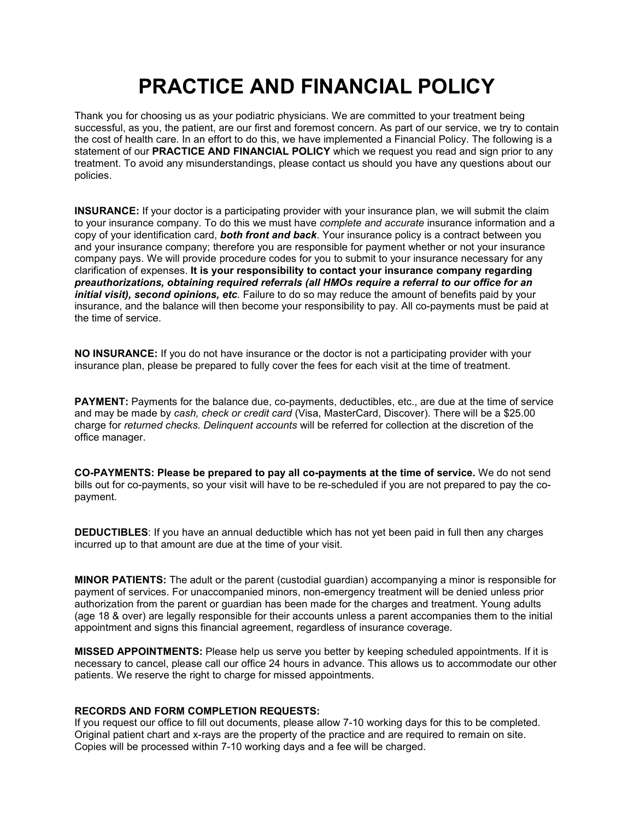## **PRACTICE AND FINANCIAL POLICY**

Thank you for choosing us as your podiatric physicians. We are committed to your treatment being successful, as you, the patient, are our first and foremost concern. As part of our service, we try to contain the cost of health care. In an effort to do this, we have implemented a Financial Policy. The following is a statement of our **PRACTICE AND FINANCIAL POLICY** which we request you read and sign prior to any treatment. To avoid any misunderstandings, please contact us should you have any questions about our policies.

**INSURANCE:** If your doctor is a participating provider with your insurance plan, we will submit the claim to your insurance company. To do this we must have *complete and accurate* insurance information and a copy of your identification card, *both front and back*. Yourinsurance policy is a contract between you and your insurance company; therefore you are responsible for payment whether or not your insurance company pays. We will provide procedure codes for you to submit to your insurance necessary for any clarification of expenses. **It is your responsibility to contact your insurance company regarding** *preauthorizations, obtaining required referrals (all HMOs require a referral to our office for an initial visit), second opinions, etc.* Failure to do so may reduce the amountof benefits paid by your insurance, and the balance will then become your responsibility to pay. All co-payments must be paid at the time of service.

**NO INSURANCE:** If you do not have insurance or the doctor is not a participating provider with your insurance plan, please be prepared to fully cover the fees for each visit at the time of treatment.

**PAYMENT:** Payments for the balance due, co-payments, deductibles, etc., are due at the time of service and may be made by *cash, check or credit card* (Visa, MasterCard, Discover). There will be a \$25.00 charge for *returned checks. Delinquent accounts* will be referred for collection at the discretion of the office manager.

**CO-PAYMENTS: Please be prepared to pay all co-payments at the time of service.**We do not send bills out for co-payments, so your visit will have to be re-scheduled if you are not prepared to pay the co payment.

**DEDUCTIBLES**: If you have an annual deductible which has not yet been paid in full then any charges incurred up to that amount are due at the time of your visit.

**MINOR PATIENTS:** The adult or the parent (custodial guardian) accompanying a minor is responsible for payment of services. For unaccompanied minors, non-emergency treatment will be denied unless prior authorization from the parent or quardian has been made for the charges and treatment. Young adults (age 18 & over) are legally responsible for their accounts unless a parent accompanies them to the initial appointment and signs this financial agreement, regardless of insurance coverage.

**MISSED APPOINTMENTS:** Please help us serve you better by keeping scheduled appointments. If it is necessary to cancel, please call our office 24 hours in advance. This allows us to accommodate our other patients. We reserve the right to charge for missed appointments.

### **RECORDS AND FORM COMPLETION REQUESTS:**

If you request our office to fill out documents, please allow 7-10 working days for this to be completed. Original patient chart and x-rays are the property of the practice and are required to remain on site. Copies will be processed within 7-10 working days and a fee will be charged.